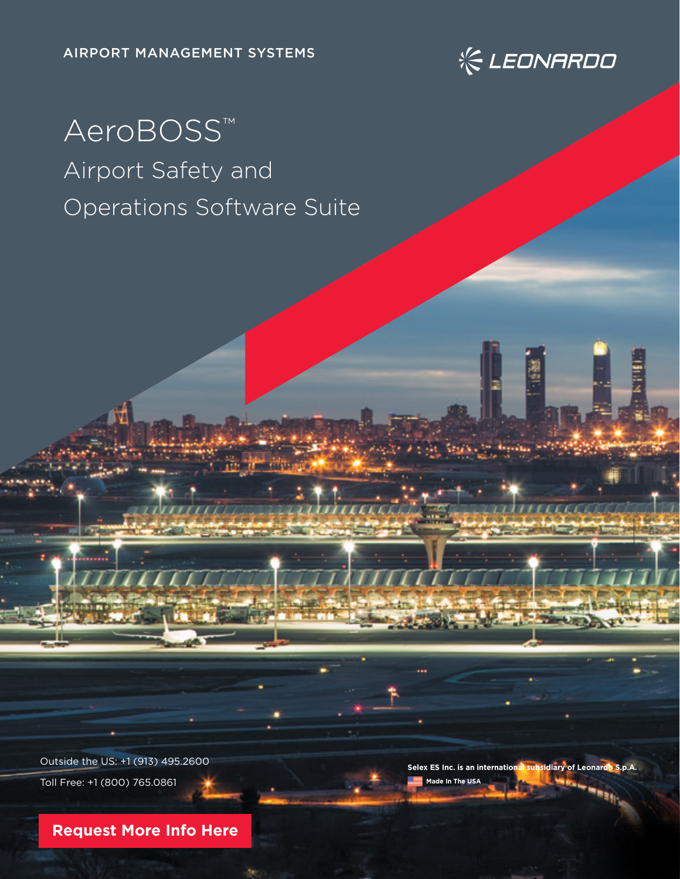

# AeroBOSS™ Airport Safety and Operations Software Suite

Outside the US: +1 (913) 495.2600 Toll Free: +1 (800) 765.0861

**Selex ES Inc. is an international subsidiary of Leonardo S.p.A. Made In The USA**

**[Request More Info Here](https://www.leonardocompany-us.com/atm-qr-aeroboss-info-request-0-0)**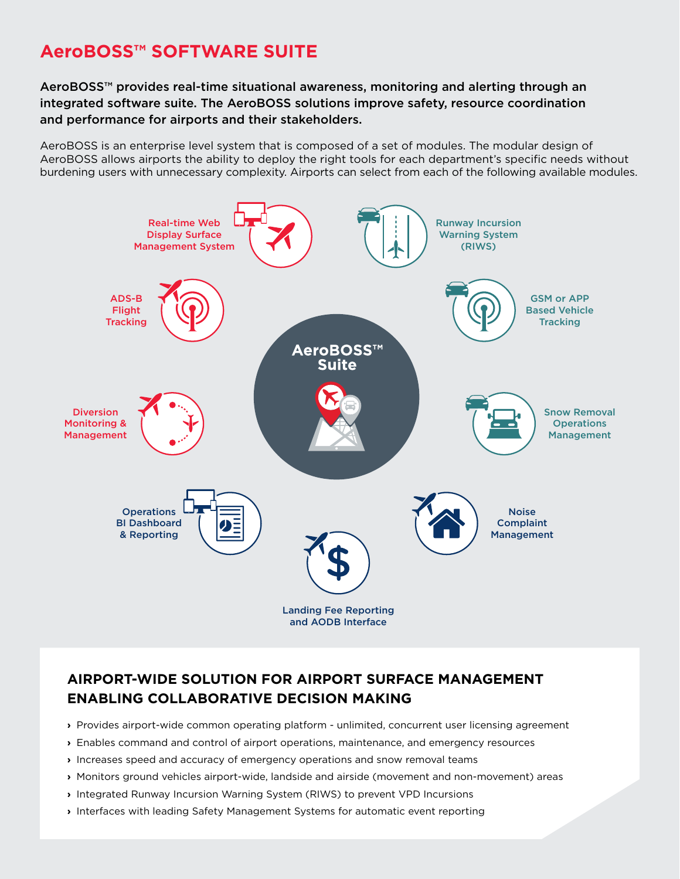# **AeroBOSS™ SOFTWARE SUITE**

# AeroBOSS™ provides real-time situational awareness, monitoring and alerting through an integrated software suite. The AeroBOSS solutions improve safety, resource coordination and performance for airports and their stakeholders.

AeroBOSS is an enterprise level system that is composed of a set of modules. The modular design of AeroBOSS allows airports the ability to deploy the right tools for each department's specific needs without burdening users with unnecessary complexity. Airports can select from each of the following available modules.



# **AIRPORT-WIDE SOLUTION FOR AIRPORT SURFACE MANAGEMENT ENABLING COLLABORATIVE DECISION MAKING**

- **›** Provides airport-wide common operating platform unlimited, concurrent user licensing agreement
- **›** Enables command and control of airport operations, maintenance, and emergency resources
- **›** Increases speed and accuracy of emergency operations and snow removal teams
- **›** Monitors ground vehicles airport-wide, landside and airside (movement and non-movement) areas
- **›** Integrated Runway Incursion Warning System (RIWS) to prevent VPD Incursions
- **›** Interfaces with leading Safety Management Systems for automatic event reporting
	-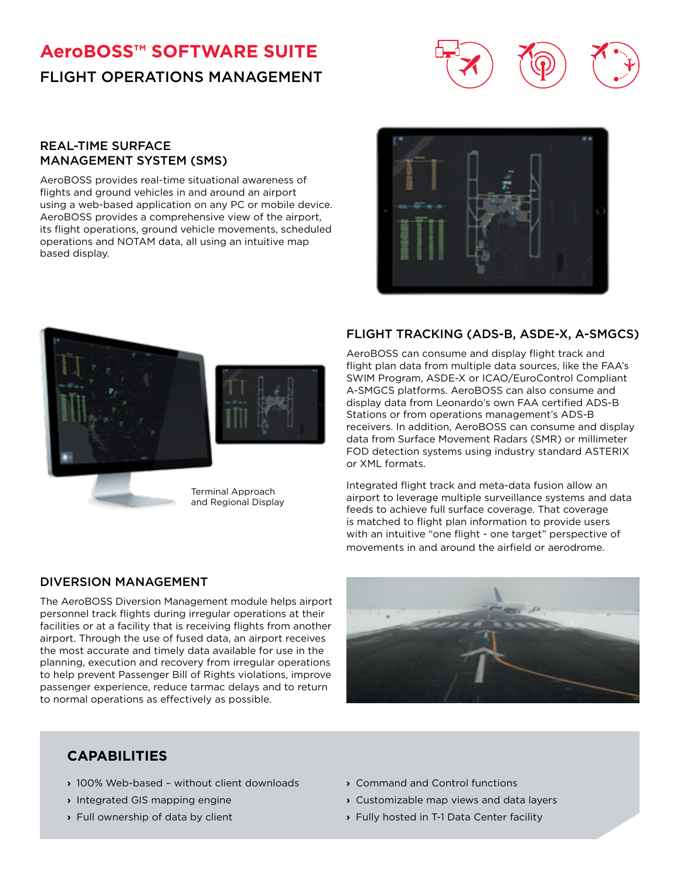# **AeroBOSS™ SOFTWARE SUITE** FLIGHT OPERATIONS MANAGEMENT



#### REAL-TIME SURFACE MANAGEMENT SYSTEM (SMS)

AeroBOSS provides real-time situational awareness of flights and ground vehicles in and around an airport using a web-based application on any PC or mobile device. AeroBOSS provides a comprehensive view of the airport, its flight operations, ground vehicle movements, scheduled operations and NOTAM data, all using an intuitive map based display.





## FLIGHT TRACKING (ADS-B, ASDE-X, A-SMGCS)

AeroBOSS can consume and display flight track and flight plan data from multiple data sources, like the FAA's SWIM Program, ASDE-X or ICAO/EuroControl Compliant A-SMGCS platforms. AeroBOSS can also consume and display data from Leonardo's own FAA certified ADS-B Stations or from operations management's ADS-B receivers. In addition, AeroBOSS can consume and display data from Surface Movement Radars (SMR) or millimeter FOD detection systems using industry standard ASTERIX or XML formats.

Integrated flight track and meta-data fusion allow an airport to leverage multiple surveillance systems and data feeds to achieve full surface coverage. That coverage is matched to flight plan information to provide users with an intuitive "one flight - one target" perspective of movements in and around the airfield or aerodrome.

## DIVERSION MANAGEMENT

The AeroBOSS Diversion Management module helps airport personnel track flights during irregular operations at their facilities or at a facility that is receiving flights from another airport. Through the use of fused data, an airport receives the most accurate and timely data available for use in the planning, execution and recovery from irregular operations to help prevent Passenger Bill of Rights violations, improve passenger experience, reduce tarmac delays and to return to normal operations as effectively as possible.



# **CAPABILITIES**

- **›** 100% Web-based without client downloads
- **›** Integrated GIS mapping engine
- **›** Full ownership of data by client
- **›** Command and Control functions
- **›** Customizable map views and data layers
- **›** Fully hosted in T-1 Data Center facility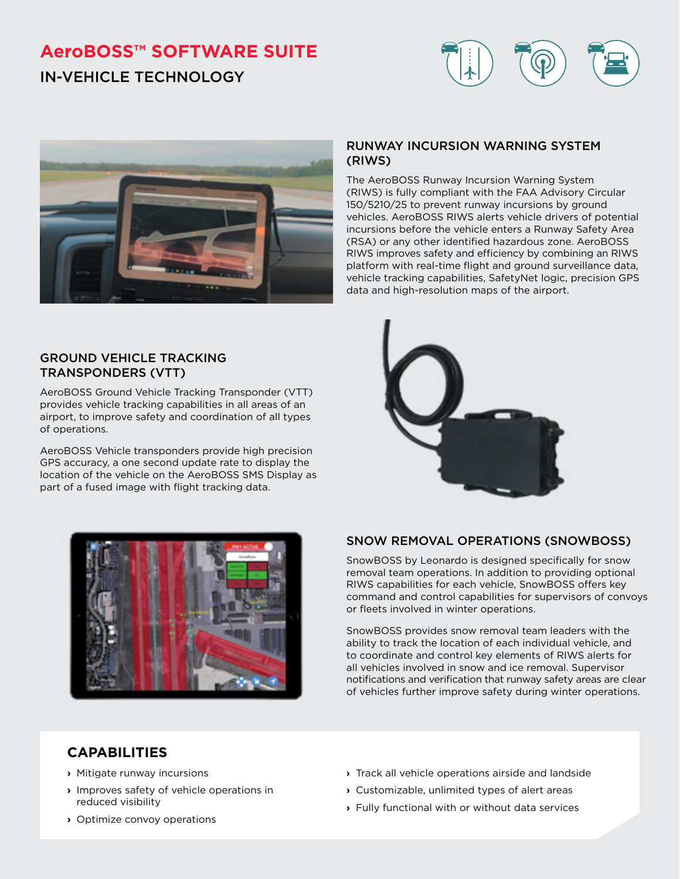# **AeroBOSS™ SOFTWARE SUITE** IN-VEHICLE TECHNOLOGY





## GROUND VEHICLE TRACKING TRANSPONDERS (VTT)

AeroBOSS Ground Vehicle Tracking Transponder (VTT) provides vehicle tracking capabilities in all areas of an airport, to improve safety and coordination of all types of operations.

AeroBOSS Vehicle transponders provide high precision GPS accuracy, a one second update rate to display the location of the vehicle on the AeroBOSS SMS Display as part of a fused image with flight tracking data.

## RUNWAY INCURSION WARNING SYSTEM (RIWS)

The AeroBOSS Runway Incursion Warning System (RIWS) is fully compliant with the FAA Advisory Circular 150/5210/25 to prevent runway incursions by ground vehicles. AeroBOSS RIWS alerts vehicle drivers of potential incursions before the vehicle enters a Runway Safety Area (RSA) or any other identified hazardous zone. AeroBOSS RIWS improves safety and efficiency by combining an RIWS platform with real-time flight and ground surveillance data, vehicle tracking capabilities, SafetyNet logic, precision GPS data and high-resolution maps of the airport.





# SNOW REMOVAL OPERATIONS (SNOWBOSS)

SnowBOSS by Leonardo is designed specifically for snow removal team operations. In addition to providing optional RIWS capabilities for each vehicle, SnowBOSS offers key command and control capabilities for supervisors of convoys or fleets involved in winter operations.

SnowBOSS provides snow removal team leaders with the ability to track the location of each individual vehicle, and to coordinate and control key elements of RIWS alerts for all vehicles involved in snow and ice removal. Supervisor notifications and verification that runway safety areas are clear of vehicles further improve safety during winter operations.

# **CAPABILITIES**

- **›** Mitigate runway incursions
- **›** Improves safety of vehicle operations in reduced visibility
- **›** Optimize convoy operations
- **›** Track all vehicle operations airside and landside
- **›** Customizable, unlimited types of alert areas
- **›** Fully functional with or without data services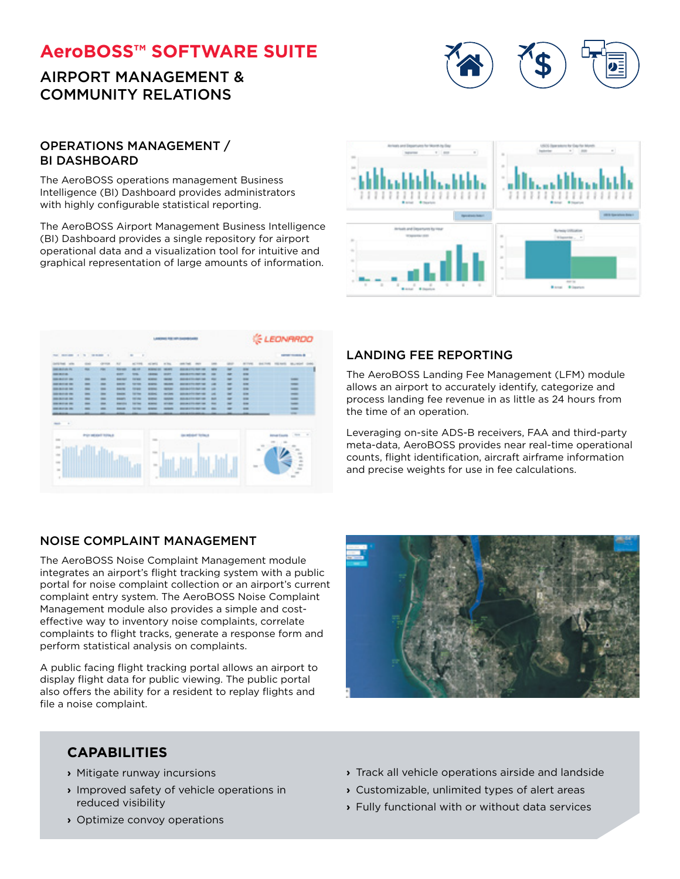# **AeroBOSS™ SOFTWARE SUITE**

# AIRPORT MANAGEMENT & COMMUNITY RELATIONS



#### OPERATIONS MANAGEMENT / BI DASHBOARD

The AeroBOSS operations management Business Intelligence (BI) Dashboard provides administrators with highly configurable statistical reporting.

The AeroBOSS Airport Management Business Intelligence (BI) Dashboard provides a single repository for airport operational data and a visualization tool for intuitive and graphical representation of large amounts of information.



|                               |                                                                                                |                          |                       |                          |                   | AMERICA FOR APP ANALOG CARDS                                                                                              |                                                                                |                          |                          |                          | <b>IEONARDO</b>   |                 |                          |  |  |
|-------------------------------|------------------------------------------------------------------------------------------------|--------------------------|-----------------------|--------------------------|-------------------|---------------------------------------------------------------------------------------------------------------------------|--------------------------------------------------------------------------------|--------------------------|--------------------------|--------------------------|-------------------|-----------------|--------------------------|--|--|
| 1 5 mmm 1<br>THE RIFLERS      |                                                                                                |                          |                       | $-1$                     |                   |                                                                                                                           |                                                                                |                          | are such b               |                          |                   |                 |                          |  |  |
| <b>DISTANT VIA</b>            | -                                                                                              | circums.                 | $\sim$                | $m_{\rm c}$ work         | <b>AND MARKET</b> | or the                                                                                                                    | $\frac{1}{2} \left( \frac{1}{2} \right) \left( \frac{1}{2} \right)$<br>see car | $\overline{\phantom{a}}$ | -                        | ALC: UNK                 | <b>GRAS</b> FRANK | <b>COLORADO</b> | May Michel               |  |  |
| <b>Date also also das</b>     | $\frac{1}{2} \left( \frac{1}{2} \right) \left( \frac{1}{2} \right) \left( \frac{1}{2} \right)$ | $\frac{1}{2}$            | <b>Robert Manager</b> | $\frac{1}{2}$            | <b>MONTHS</b>     | $\frac{1}{2}$                                                                                                             | <b>Black of Co., New York</b>                                                  | -                        | ٠                        | $\overline{\phantom{a}}$ |                   |                 |                          |  |  |
| <b>BERTE</b>                  |                                                                                                |                          | $rac{1}{2}$           | $rac{1}{2}$              | <b>CRANK</b>      | <b>START</b>                                                                                                              | <b>BUILDEAM COLLEGE TO</b>                                                     | -                        | $\overline{a}$           | $\sim$                   |                   |                 |                          |  |  |
| <b><i>CONSTRUCTION</i></b>    | -                                                                                              | -                        | -                     | <b>Corporate</b>         | --                | -                                                                                                                         | <b>BERGER ETTIS HORN CARS</b>                                                  | -                        | ۰                        | $\overline{\phantom{a}}$ |                   |                 | $\frac{1}{2}$            |  |  |
| <b><i>DISTURBANCE</i></b>     | $\equiv$                                                                                       | -                        | $\frac{1}{2}$         | $-$                      | <b>HEART</b>      | $\frac{1}{2}$                                                                                                             | <b>BEET ON A FIRE SHOP THAT</b>                                                | $\overline{a}$           | -                        | $\sim$                   |                   |                 | $-$                      |  |  |
| <b>BARAGE DE</b>              | $\frac{1}{2}$                                                                                  | -                        | <b>Band St</b>        | <b>Harak</b>             | <b>HEAR</b>       | -                                                                                                                         | <b>MARKETS AND AN</b>                                                          | -                        | $\overline{\phantom{a}}$ | $\sim$                   |                   |                 | $\frac{1}{2}$            |  |  |
| <b><i><u>SHERFING</u></i></b> | $\overline{\phantom{a}}$                                                                       | $\overline{\phantom{a}}$ | 100000                | <b>SERVICE</b>           | <b>HEART</b>      | $\frac{1}{2} \left( \frac{1}{2} \right) \left( \frac{1}{2} \right) \left( \frac{1}{2} \right) \left( \frac{1}{2} \right)$ | <b>BERTH OR CHILD CORP. THEY</b>                                               | $-$                      | -                        | $rac{1}{2}$              |                   |                 | $\frac{1}{2}$            |  |  |
| <b>BALLAS DE</b>              | $\frac{1}{2}$                                                                                  | -                        | <b>Brand</b>          | <b>SECURE</b>            | <b>SERVICE</b>    | <b>SHARE</b>                                                                                                              | <b>BULGLY TO BE THE</b>                                                        | <b>BAR</b>               | $\overline{a}$           | $\frac{1}{2}$            |                   |                 | $-$                      |  |  |
| -----                         | -                                                                                              | -                        | <b>Allen Color</b>    | <b>Carried Corporate</b> | <b>Home</b>       | <b>All Ave.</b>                                                                                                           | <b>BELLEVILLE AND LOW</b>                                                      | $\overline{a}$           | ٠                        | $\overline{a}$           |                   |                 | $\overline{\phantom{a}}$ |  |  |
| <b>DESCRIPTION</b>            | $\sim$                                                                                         | -                        | <b>STATE</b>          | <b>SERVICE</b>           | <b>SERVICE</b>    | <b>START</b>                                                                                                              | <b><i>BASICA CITY RATION</i></b>                                               | <b>STATE</b>             |                          | $\sim$                   |                   |                 | $-$                      |  |  |
|                               | -                                                                                              |                          | -                     | -                        |                   |                                                                                                                           |                                                                                |                          |                          | -                        |                   |                 | <b>STAR</b>              |  |  |
| - 2<br>ment.                  |                                                                                                |                          |                       |                          |                   |                                                                                                                           |                                                                                |                          |                          |                          |                   |                 |                          |  |  |

## LANDING FEE REPORTING

The AeroBOSS Landing Fee Management (LFM) module allows an airport to accurately identify, categorize and process landing fee revenue in as little as 24 hours from the time of an operation.

Leveraging on-site ADS-B receivers, FAA and third-party meta-data, AeroBOSS provides near real-time operational counts, flight identification, aircraft airframe information and precise weights for use in fee calculations.

## NOISE COMPLAINT MANAGEMENT

The AeroBOSS Noise Complaint Management module integrates an airport's flight tracking system with a public portal for noise complaint collection or an airport's current complaint entry system. The AeroBOSS Noise Complaint Management module also provides a simple and costeffective way to inventory noise complaints, correlate complaints to flight tracks, generate a response form and perform statistical analysis on complaints.

A public facing flight tracking portal allows an airport to display flight data for public viewing. The public portal also offers the ability for a resident to replay flights and file a noise complaint.



# **CAPABILITIES**

- **›** Mitigate runway incursions
- **›** Improved safety of vehicle operations in reduced visibility
- **›** Optimize convoy operations
- **›** Track all vehicle operations airside and landside
- **›** Customizable, unlimited types of alert areas
- **›** Fully functional with or without data services